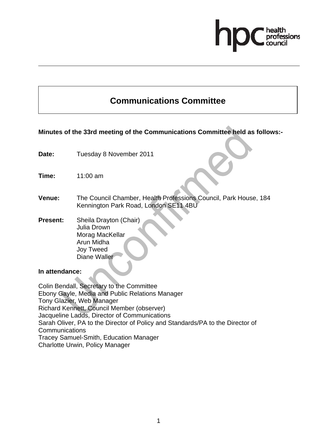# essions

# **Communications Committee**

# **Minutes of the 33rd meeting of the Communications Committee held as follows:-**

**Date:** Tuesday 8 November 2011

**Time:** 11:00 am

- **Venue:** The Council Chamber, Health Professions Council, Park House, 184 Kennington Park Road, London SE11 4BU
- **Present:** Sheila Drayton (Chair) Julia Drown Morag MacKellar Arun Midha Joy Tweed Diane Waller

#### **In attendance:**

Colin Bendall, Secretary to the Committee Ebony Gayle, Media and Public Relations Manager Tony Glazier, Web Manager Richard Kennett, Council Member (observer) Jacqueline Ladds, Director of Communications Sarah Oliver, PA to the Director of Policy and Standards/PA to the Director of **Communications** Tracey Samuel-Smith, Education Manager Charlotte Urwin, Policy Manager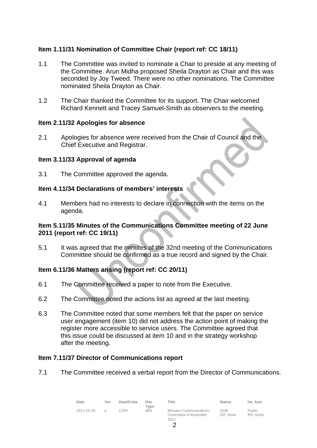# **Item 1.11/31 Nomination of Committee Chair (report ref: CC 18/11)**

- 1.1 The Committee was invited to nominate a Chair to preside at any meeting of the Committee. Arun Midha proposed Sheila Drayton as Chair and this was seconded by Joy Tweed. There were no other nominations. The Committee nominated Sheila Drayton as Chair.
- 1.2 The Chair thanked the Committee for its support. The Chair welcomed Richard Kennett and Tracey Samuel-Smith as observers to the meeting.

#### **Item 2.11/32 Apologies for absence**

2.1 Apologies for absence were received from the Chair of Council and the Chief Executive and Registrar.

# **Item 3.11/33 Approval of agenda**

3.1 The Committee approved the agenda.

#### **Item 4.11/34 Declarations of members' interests**

4.1 Members had no interests to declare in connection with the items on the agenda.

# **Item 5.11/35 Minutes of the Communications Committee meeting of 22 June 2011 (report ref: CC 19/11)**

5.1 It was agreed that the minutes of the 32nd meeting of the Communications Committee should be confirmed as a true record and signed by the Chair.

# **Item 6.11/36 Matters arising (report ref: CC 20/11)**

- 6.1 The Committee received a paper to note from the Executive.
- 6.2 The Committee noted the actions list as agreed at the last meeting.
- 6.3 The Committee noted that some members felt that the paper on service user engagement (item 10) did not address the action point of making the register more accessible to service users. The Committee agreed that this issue could be discussed at item 10 and in the strategy workshop after the meeting.

#### **Item 7.11/37 Director of Communications report**

7.1 The Committee received a verbal report from the Director of Communications.

| Date       | Ver.          | Dept/Cmte | Doc.<br>Type | Title                                                         | <b>Status</b>     | Int. Aud.                 |
|------------|---------------|-----------|--------------|---------------------------------------------------------------|-------------------|---------------------------|
| 2011-10-28 | $\mathcal{A}$ | COM       | <b>MIN</b>   | <b>Minutes Communications</b><br>Committee 8 November<br>2011 | Draft<br>DD: None | <b>Public</b><br>RD: None |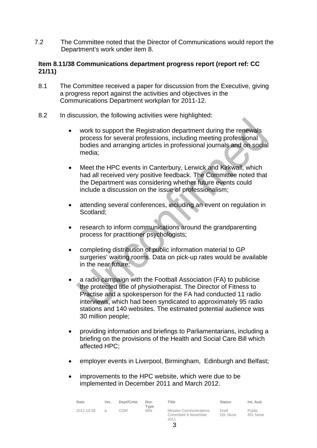7.2 The Committee noted that the Director of Communications would report the Department's work under item 8.

# **Item 8.11/38 Communications department progress report (report ref: CC 21/11)**

- 8.1 The Committee received a paper for discussion from the Executive, giving a progress report against the activities and objectives in the Communications Department workplan for 2011-12.
- 8.2 In discussion, the following activities were highlighted:
	- work to support the Registration department during the renewals process for several professions, including meeting professional bodies and arranging articles in professional journals and on social media;
	- Meet the HPC events in Canterbury, Lerwick and Kirkwall, which had all received very positive feedback. The Committee noted that the Department was considering whether future events could include a discussion on the issue of professionalism;
	- attending several conferences, including an event on regulation in Scotland:
	- research to inform communications around the grandparenting process for practitioner psychologists;
	- completing distribution of public information material to GP surgeries' waiting rooms. Data on pick-up rates would be available in the near future;
	- a radio campaign with the Football Association (FA) to publicise the protected title of physiotherapist. The Director of Fitness to Practise and a spokesperson for the FA had conducted 11 radio interviews, which had been syndicated to approximately 95 radio stations and 140 websites. The estimated potential audience was 30 million people;
	- providing information and briefings to Parliamentarians, including a briefing on the provisions of the Health and Social Care Bill which affected HPC;
	- employer events in Liverpool, Birmingham, Edinburgh and Belfast;
	- improvements to the HPC website, which were due to be implemented in December 2011 and March 2012.

| Date       | Ver.          | Dept/Cmte | Doc.<br>Type | Title                                                  | <b>Status</b>     | Int. Aud.                 |
|------------|---------------|-----------|--------------|--------------------------------------------------------|-------------------|---------------------------|
| 2011-10-28 | $\mathcal{A}$ | COM       | <b>MIN</b>   | Minutes Communications<br>Committee 8 November<br>2011 | Draft<br>DD: None | <b>Public</b><br>RD: None |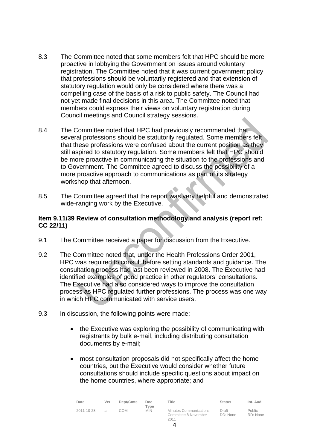- 8.3 The Committee noted that some members felt that HPC should be more proactive in lobbying the Government on issues around voluntary registration. The Committee noted that it was current government policy that professions should be voluntarily registered and that extension of statutory regulation would only be considered where there was a compelling case of the basis of a risk to public safety. The Council had not yet made final decisions in this area. The Committee noted that members could express their views on voluntary registration during Council meetings and Council strategy sessions.
- 8.4 The Committee noted that HPC had previously recommended that several professions should be statutorily regulated. Some members felt that these professions were confused about the current position as they still aspired to statutory regulation. Some members felt that HPC should be more proactive in communicating the situation to the professions and to Government. The Committee agreed to discuss the possibility of a more proactive approach to communications as part of its strategy workshop that afternoon.
- 8.5 The Committee agreed that the report was very helpful and demonstrated wide-ranging work by the Executive.

# **Item 9.11/39 Review of consultation methodology and analysis (report ref: CC 22/11)**

- 9.1 The Committee received a paper for discussion from the Executive.
- 9.2 The Committee noted that, under the Health Professions Order 2001, HPC was required to consult before setting standards and guidance. The consultation process had last been reviewed in 2008. The Executive had identified examples of good practice in other regulators' consultations. The Executive had also considered ways to improve the consultation process as HPC regulated further professions. The process was one way in which HPC communicated with service users.
- 9.3 In discussion, the following points were made:
	- the Executive was exploring the possibility of communicating with registrants by bulk e-mail, including distributing consultation documents by e-mail;
	- most consultation proposals did not specifically affect the home countries, but the Executive would consider whether future consultations should include specific questions about impact on the home countries, where appropriate; and

| Date       | Ver.          | Dept/Cmte | Doc.<br>Type | Title                                                         | <b>Status</b>     | Int. Aud.                 |
|------------|---------------|-----------|--------------|---------------------------------------------------------------|-------------------|---------------------------|
| 2011-10-28 | $\mathcal{A}$ | COM       | <b>MIN</b>   | <b>Minutes Communications</b><br>Committee 8 November<br>2011 | Draft<br>DD: None | <b>Public</b><br>RD: None |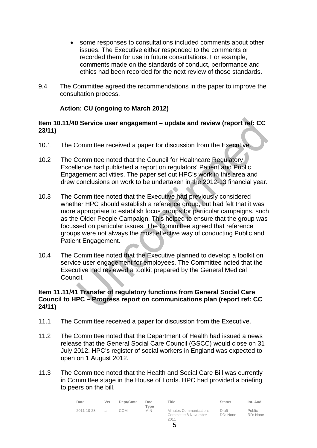- some responses to consultations included comments about other issues. The Executive either responded to the comments or recorded them for use in future consultations. For example, comments made on the standards of conduct, performance and ethics had been recorded for the next review of those standards.
- 9.4 The Committee agreed the recommendations in the paper to improve the consultation process.

# **Action: CU (ongoing to March 2012)**

## **Item 10.11/40 Service user engagement – update and review (report ref: CC 23/11)**

- 10.1 The Committee received a paper for discussion from the Executive.
- 10.2 The Committee noted that the Council for Healthcare Regulatory Excellence had published a report on regulators' Patient and Public Engagement activities. The paper set out HPC's work in this area and drew conclusions on work to be undertaken in the 2012-13 financial year.
- 10.3 The Committee noted that the Executive had previously considered whether HPC should establish a reference group, but had felt that it was more appropriate to establish focus groups for particular campaigns, such as the Older People Campaign. This helped to ensure that the group was focussed on particular issues. The Committee agreed that reference groups were not always the most effective way of conducting Public and Patient Engagement.
- 10.4 The Committee noted that the Executive planned to develop a toolkit on service user engagement for employees. The Committee noted that the Executive had reviewed a toolkit prepared by the General Medical Council.

# **Item 11.11/41 Transfer of regulatory functions from General Social Care Council to HPC – Progress report on communications plan (report ref: CC 24/11)**

- 11.1 The Committee received a paper for discussion from the Executive.
- 11.2 The Committee noted that the Department of Health had issued a news release that the General Social Care Council (GSCC) would close on 31 July 2012. HPC's register of social workers in England was expected to open on 1 August 2012.
- 11.3 The Committee noted that the Health and Social Care Bill was currently in Committee stage in the House of Lords. HPC had provided a briefing to peers on the bill.

| Date       | Ver.          | Dept/Cmte | Doc.<br>Tvpe | Title                                                         | <b>Status</b>     | Int. Aud.                 |
|------------|---------------|-----------|--------------|---------------------------------------------------------------|-------------------|---------------------------|
| 2011-10-28 | $\mathcal{A}$ | COM       | <b>MIN</b>   | <b>Minutes Communications</b><br>Committee 8 November<br>2011 | Draft<br>DD: None | <b>Public</b><br>RD: None |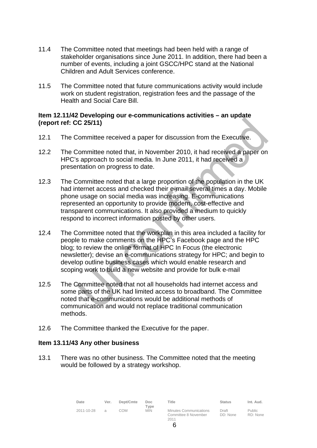- 11.4 The Committee noted that meetings had been held with a range of stakeholder organisations since June 2011. In addition, there had been a number of events, including a joint GSCC/HPC stand at the National Children and Adult Services conference.
- 11.5 The Committee noted that future communications activity would include work on student registration, registration fees and the passage of the Health and Social Care Bill.

## **Item 12.11/42 Developing our e-communications activities – an update (report ref: CC 25/11)**

- 12.1 The Committee received a paper for discussion from the Executive.
- 12.2 The Committee noted that, in November 2010, it had received a paper on HPC's approach to social media. In June 2011, it had received a presentation on progress to date.
- 12.3 The Committee noted that a large proportion of the population in the UK had internet access and checked their e-mail several times a day. Mobile phone usage on social media was increasing. E-communications represented an opportunity to provide modern, cost-effective and transparent communications. It also provided a medium to quickly respond to incorrect information posted by other users.
- 12.4 The Committee noted that the workplan in this area included a facility for people to make comments on the HPC's Facebook page and the HPC blog; to review the online format of HPC In Focus (the electronic newsletter); devise an e-communications strategy for HPC; and begin to develop outline business cases which would enable research and scoping work to build a new website and provide for bulk e-mail
- 12.5 The Committee noted that not all households had internet access and some parts of the UK had limited access to broadband. The Committee noted that e-communications would be additional methods of communication and would not replace traditional communication methods.
- 12.6 The Committee thanked the Executive for the paper.

# **Item 13.11/43 Any other business**

13.1 There was no other business. The Committee noted that the meeting would be followed by a strategy workshop.

| Date       | Ver.          | Dept/Cmte | Doc.<br>Tvpe | Title                                                         | <b>Status</b>     | Int. Aud.                 |
|------------|---------------|-----------|--------------|---------------------------------------------------------------|-------------------|---------------------------|
| 2011-10-28 | $\mathcal{A}$ | COM       | <b>MIN</b>   | <b>Minutes Communications</b><br>Committee 8 November<br>2011 | Draft<br>DD: None | <b>Public</b><br>RD: None |